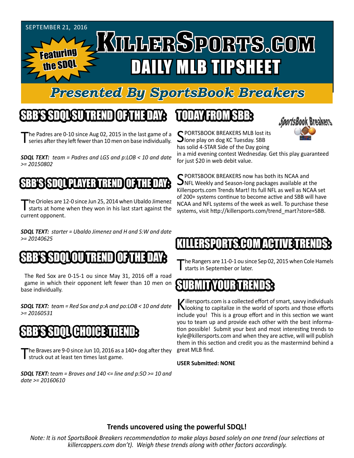

## *Presented By SportsBook Breakers*

# SBB'S SDQL SU TREND OF THE DAY:

The Padres are 0-10 since Aug 02, 2015 in the last game of a series after they left fewer than 10 men on base individually.

*SDQL TEXT: team = Padres and LGS and p:LOB < 10 and date >= 20150802*

#### SBB'S SPACE RTAY SPACE OF THE DAY

The Orioles are 12-0 since Jun 25, 2014 when Ubaldo Jimenez starts at home when they won in his last start against the current opponent.

*SDQL TEXT: starter = Ubaldo Jimenez and H and S:W and date >= 20140625*

#### SBB'S SDQLOU TREND OF THE DAY:

The Red Sox are 0-15-1 ou since May 31, 2016 off a road game in which their opponent left fewer than 10 men on base individually.

*SDQL TEXT: team = Red Sox and p:A and po:LOB < 10 and date >= 20160531*

#### CHOICE: I

The Braves are 9-0 since Jun 10, 2016 as a 140+ dog after they struck out at least ten times last game.

*SDQL TEXT: team = Braves and 140 <= line and p:SO >= 10 and date >= 20160610*

## TODAY HAOMSBB



C PORTSBOOK BREAKERS MLB lost its **J**lone play on dog KC Tuesday. SBB has solid 4-STAR Side of the Day going

in a mid evening contest Wednesday. Get this play guaranteed for just \$20 in web debit value.

SPORTSBOOK BREAKERS now has both its NCAA and<br>NFL Weekly and Season-long packages available at the Killersports.com Trends Mart! Its full NFL as well as NCAA set of 200+ systems continue to become active and SBB will have NCAA and NFL systems of the week as well. To purchase these systems, visit http://killersports.com/trend\_mart?store=SBB.

# RSPORTS.COM ACTIVET

The Rangers are 11-0-1 ou since Sep 02, 2015 when Cole Hamels I starts in September or later.

#### SUBMITYOUR TRENDS:

Killersports.com is a collected effort of smart, savvy individuals<br>Nooking to capitalize in the world of sports and those efforts include you! This is a group effort and in this section we want you to team up and provide each other with the best information possible! Submit your best and most interesting trends to kyle@killersports.com and when they are active, will will publish them in this section and credit you as the mastermind behind a great MLB find.

**USER Submitted: NONE**

#### **Trends uncovered using the powerful SDQL!**

*Note: It is not SportsBook Breakers recommendation to make plays based solely on one trend (our selections at killercappers.com don't). Weigh these trends along with other factors accordingly.*